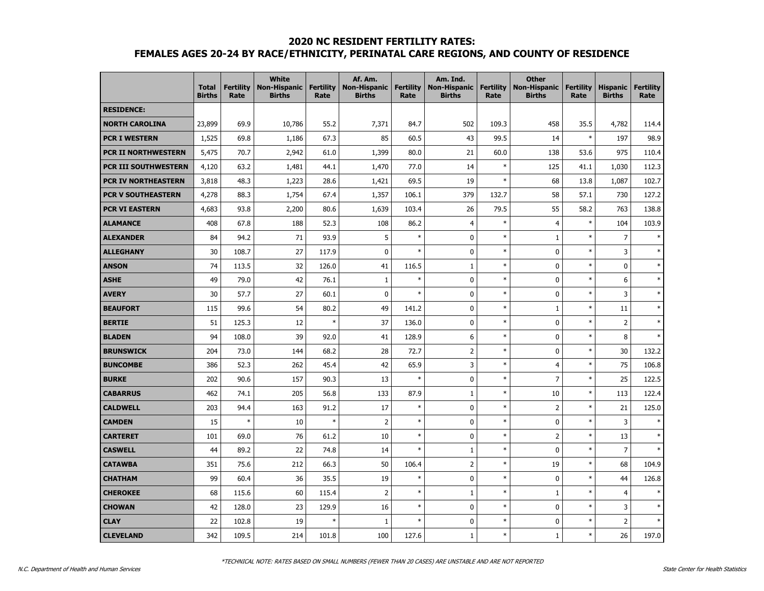#### **2020 NC RESIDENT FERTILITY RATES:**

## **FEMALES AGES 20-24 BY RACE/ETHNICITY, PERINATAL CARE REGIONS, AND COUNTY OF RESIDENCE**

|                             | <b>Total</b><br><b>Births</b> | <b>Fertility</b><br>Rate | <b>White</b><br><b>Non-Hispanic</b><br><b>Births</b> | <b>Fertility</b><br>Rate | Af. Am.<br><b>Non-Hispanic</b><br><b>Births</b> | <b>Fertility</b><br>Rate | Am. Ind.<br><b>Non-Hispanic</b><br><b>Births</b> | <b>Fertility</b><br>Rate | <b>Other</b><br><b>Non-Hispanic</b><br><b>Births</b> | <b>Fertility</b><br>Rate | <b>Hispanic</b><br><b>Births</b> | <b>Fertility</b><br>Rate |
|-----------------------------|-------------------------------|--------------------------|------------------------------------------------------|--------------------------|-------------------------------------------------|--------------------------|--------------------------------------------------|--------------------------|------------------------------------------------------|--------------------------|----------------------------------|--------------------------|
| <b>RESIDENCE:</b>           |                               |                          |                                                      |                          |                                                 |                          |                                                  |                          |                                                      |                          |                                  |                          |
| <b>NORTH CAROLINA</b>       | 23,899                        | 69.9                     | 10,786                                               | 55.2                     | 7,371                                           | 84.7                     | 502                                              | 109.3                    | 458                                                  | 35.5                     | 4,782                            | 114.4                    |
| <b>PCR I WESTERN</b>        | 1,525                         | 69.8                     | 1,186                                                | 67.3                     | 85                                              | 60.5                     | 43                                               | 99.5                     | 14                                                   | $\ast$                   | 197                              | 98.9                     |
| PCR II NORTHWESTERN         | 5,475                         | 70.7                     | 2,942                                                | 61.0                     | 1,399                                           | 80.0                     | 21                                               | 60.0                     | 138                                                  | 53.6                     | 975                              | 110.4                    |
| <b>PCR III SOUTHWESTERN</b> | 4,120                         | 63.2                     | 1,481                                                | 44.1                     | 1,470                                           | 77.0                     | 14                                               | $\ast$                   | 125                                                  | 41.1                     | 1,030                            | 112.3                    |
| <b>PCR IV NORTHEASTERN</b>  | 3,818                         | 48.3                     | 1,223                                                | 28.6                     | 1,421                                           | 69.5                     | 19                                               | $\ast$                   | 68                                                   | 13.8                     | 1,087                            | 102.7                    |
| <b>PCR V SOUTHEASTERN</b>   | 4,278                         | 88.3                     | 1,754                                                | 67.4                     | 1,357                                           | 106.1                    | 379                                              | 132.7                    | 58                                                   | 57.1                     | 730                              | 127.2                    |
| <b>PCR VI EASTERN</b>       | 4,683                         | 93.8                     | 2,200                                                | 80.6                     | 1,639                                           | 103.4                    | 26                                               | 79.5                     | 55                                                   | 58.2                     | 763                              | 138.8                    |
| <b>ALAMANCE</b>             | 408                           | 67.8                     | 188                                                  | 52.3                     | 108                                             | 86.2                     | $\overline{4}$                                   | $\ast$                   | 4                                                    | $\ast$                   | 104                              | 103.9                    |
| <b>ALEXANDER</b>            | 84                            | 94.2                     | 71                                                   | 93.9                     | 5                                               | $\ast$                   | 0                                                | $\ast$                   | $\mathbf{1}$                                         | $\ast$                   | $\overline{7}$                   | $\ast$                   |
| <b>ALLEGHANY</b>            | 30                            | 108.7                    | 27                                                   | 117.9                    | $\mathbf{0}$                                    | $\ast$                   | $\mathbf 0$                                      | $\ast$                   | 0                                                    | $\ast$                   | 3                                |                          |
| <b>ANSON</b>                | 74                            | 113.5                    | 32                                                   | 126.0                    | 41                                              | 116.5                    | $1\,$                                            | $\ast$                   | 0                                                    | $\ast$                   | $\pmb{0}$                        | $\ast$                   |
| <b>ASHE</b>                 | 49                            | 79.0                     | 42                                                   | 76.1                     | $\mathbf{1}$                                    | $\ast$                   | 0                                                | $\ast$                   | 0                                                    | $\ast$                   | 6                                | $\ast$                   |
| <b>AVERY</b>                | 30                            | 57.7                     | 27                                                   | 60.1                     | 0                                               | $\ast$                   | $\mathbf 0$                                      | $\ast$                   | $\mathbf 0$                                          | $\ast$                   | 3                                | $\ast$                   |
| <b>BEAUFORT</b>             | 115                           | 99.6                     | 54                                                   | 80.2                     | 49                                              | 141.2                    | $\mathbf 0$                                      | $\ast$                   | $\mathbf{1}$                                         | $\ast$                   | 11                               | $\ast$                   |
| <b>BERTIE</b>               | 51                            | 125.3                    | 12                                                   | $\ast$                   | 37                                              | 136.0                    | $\mathbf 0$                                      | $\ast$                   | 0                                                    | $\ast$                   | $\overline{2}$                   | $\ast$                   |
| <b>BLADEN</b>               | 94                            | 108.0                    | 39                                                   | 92.0                     | 41                                              | 128.9                    | 6                                                | $\ast$                   | 0                                                    | $\ast$                   | 8                                | $\ast$                   |
| <b>BRUNSWICK</b>            | 204                           | 73.0                     | 144                                                  | 68.2                     | 28                                              | 72.7                     | $\overline{2}$                                   | $\ast$                   | 0                                                    | $\ast$                   | 30                               | 132.2                    |
| <b>BUNCOMBE</b>             | 386                           | 52.3                     | 262                                                  | 45.4                     | 42                                              | 65.9                     | 3                                                | $\ast$                   | 4                                                    | $\ast$                   | 75                               | 106.8                    |
| <b>BURKE</b>                | 202                           | 90.6                     | 157                                                  | 90.3                     | 13                                              | $\ast$                   | 0                                                | $\ast$                   | $\overline{7}$                                       | $\ast$                   | 25                               | 122.5                    |
| <b>CABARRUS</b>             | 462                           | 74.1                     | 205                                                  | 56.8                     | 133                                             | 87.9                     | $\mathbf{1}$                                     | $\ast$                   | 10                                                   | $\ast$                   | 113                              | 122.4                    |
| <b>CALDWELL</b>             | 203                           | 94.4                     | 163                                                  | 91.2                     | 17                                              | $\ast$                   | $\mathbf 0$                                      | $\ast$                   | $\overline{2}$                                       | $\ast$                   | 21                               | 125.0                    |
| <b>CAMDEN</b>               | 15                            | $\ast$                   | 10                                                   | $\ast$                   | $\overline{2}$                                  | $\ast$                   | $\mathbf 0$                                      | $\ast$                   | $\pmb{0}$                                            | $\ast$                   | 3                                | $\ast$                   |
| <b>CARTERET</b>             | 101                           | 69.0                     | 76                                                   | 61.2                     | 10                                              | $\ast$                   | $\mathbf 0$                                      | $\ast$                   | $\overline{2}$                                       | $\ast$                   | 13                               | $\star$                  |
| <b>CASWELL</b>              | 44                            | 89.2                     | 22                                                   | 74.8                     | 14                                              | $\ast$                   | $\mathbf{1}$                                     | $\ast$                   | 0                                                    | $\ast$                   | $\overline{7}$                   |                          |
| <b>CATAWBA</b>              | 351                           | 75.6                     | 212                                                  | 66.3                     | 50                                              | 106.4                    | $\overline{2}$                                   | $\ast$                   | 19                                                   | $\ast$                   | 68                               | 104.9                    |
| <b>CHATHAM</b>              | 99                            | 60.4                     | 36                                                   | 35.5                     | 19                                              | $\ast$                   | $\mathbf 0$                                      | $\ast$                   | 0                                                    | $\ast$                   | 44                               | 126.8                    |
| <b>CHEROKEE</b>             | 68                            | 115.6                    | 60                                                   | 115.4                    | $\overline{2}$                                  | $\ast$                   | 1                                                | $\ast$                   | $\mathbf{1}$                                         | $\ast$                   | $\overline{4}$                   |                          |
| <b>CHOWAN</b>               | 42                            | 128.0                    | 23                                                   | 129.9                    | 16                                              | $\ast$                   | $\mathbf 0$                                      | $\ast$                   | 0                                                    | $\ast$                   | 3                                | $\ast$                   |
| <b>CLAY</b>                 | 22                            | 102.8                    | 19                                                   | $\ast$                   | 1                                               | $\ast$                   | $\mathbf 0$                                      | $\ast$                   | 0                                                    | $\ast$                   | $\overline{2}$                   | $\ast$                   |
| <b>CLEVELAND</b>            | 342                           | 109.5                    | 214                                                  | 101.8                    | 100                                             | 127.6                    | $\mathbf{1}$                                     | $\ast$                   | $\mathbf 1$                                          | $\ast$                   | 26                               | 197.0                    |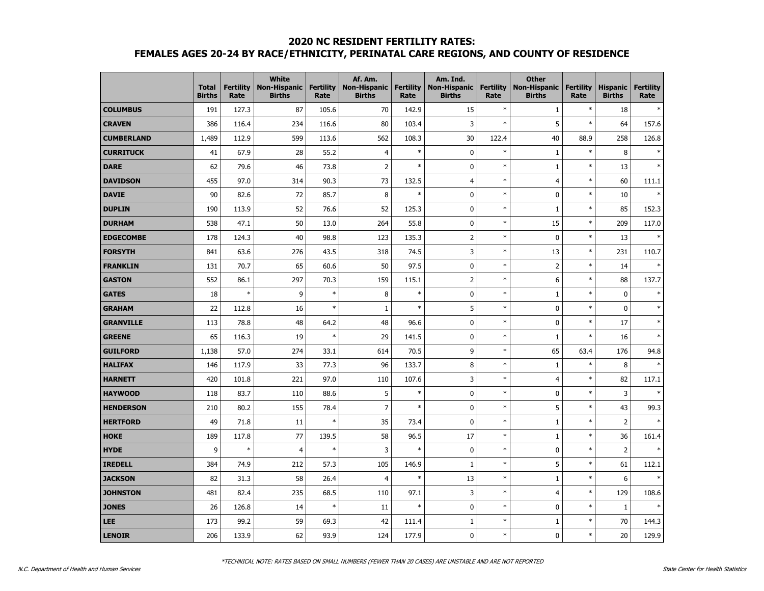### **2020 NC RESIDENT FERTILITY RATES: FEMALES AGES 20-24 BY RACE/ETHNICITY, PERINATAL CARE REGIONS, AND COUNTY OF RESIDENCE**

|                   | <b>Total</b><br><b>Births</b> | <b>Fertility</b><br>Rate | White<br><b>Non-Hispanic</b><br><b>Births</b> | <b>Fertility</b><br>Rate | Af. Am.<br><b>Non-Hispanic</b><br><b>Births</b> | <b>Fertility</b><br>Rate | Am. Ind.<br><b>Non-Hispanic</b><br><b>Births</b> | <b>Fertility</b><br>Rate | <b>Other</b><br><b>Non-Hispanic</b><br><b>Births</b> | <b>Fertility</b><br>Rate | <b>Hispanic</b><br><b>Births</b> | <b>Fertility</b><br>Rate |
|-------------------|-------------------------------|--------------------------|-----------------------------------------------|--------------------------|-------------------------------------------------|--------------------------|--------------------------------------------------|--------------------------|------------------------------------------------------|--------------------------|----------------------------------|--------------------------|
| <b>COLUMBUS</b>   | 191                           | 127.3                    | 87                                            | 105.6                    | 70                                              | 142.9                    | 15                                               | $\ast$                   | $\mathbf{1}$                                         | $\ast$                   | 18                               |                          |
| <b>CRAVEN</b>     | 386                           | 116.4                    | 234                                           | 116.6                    | 80                                              | 103.4                    | 3                                                | $\ast$                   | 5                                                    | $\ast$                   | 64                               | 157.6                    |
| <b>CUMBERLAND</b> | 1,489                         | 112.9                    | 599                                           | 113.6                    | 562                                             | 108.3                    | 30                                               | 122.4                    | 40                                                   | 88.9                     | 258                              | 126.8                    |
| <b>CURRITUCK</b>  | 41                            | 67.9                     | 28                                            | 55.2                     | $\overline{4}$                                  | $\ast$                   | $\pmb{0}$                                        | $\ast$                   | $1\,$                                                | $\ast$                   | 8                                |                          |
| DARE              | 62                            | 79.6                     | 46                                            | 73.8                     | $\overline{2}$                                  | $\ast$                   | $\mathbf 0$                                      | $\ast$                   | $\mathbf{1}$                                         | $\ast$                   | 13                               |                          |
| <b>DAVIDSON</b>   | 455                           | 97.0                     | 314                                           | 90.3                     | 73                                              | 132.5                    | $\overline{4}$                                   | $\ast$                   | $\overline{4}$                                       | $\ast$                   | 60                               | 111.1                    |
| <b>DAVIE</b>      | 90                            | 82.6                     | 72                                            | 85.7                     | 8                                               | $\ast$                   | $\mathbf 0$                                      | $\ast$                   | 0                                                    | $\ast$                   | 10                               |                          |
| <b>DUPLIN</b>     | 190                           | 113.9                    | 52                                            | 76.6                     | 52                                              | 125.3                    | $\pmb{0}$                                        | $\ast$                   | $\mathbf{1}$                                         | $\ast$                   | 85                               | 152.3                    |
| <b>DURHAM</b>     | 538                           | 47.1                     | 50                                            | 13.0                     | 264                                             | 55.8                     | $\mathbf 0$                                      | $\ast$                   | 15                                                   | $\ast$                   | 209                              | 117.0                    |
| <b>EDGECOMBE</b>  | 178                           | 124.3                    | 40                                            | 98.8                     | 123                                             | 135.3                    | $\overline{2}$                                   | $\ast$                   | 0                                                    | $\ast$                   | 13                               |                          |
| <b>FORSYTH</b>    | 841                           | 63.6                     | 276                                           | 43.5                     | 318                                             | 74.5                     | 3                                                | $\ast$                   | 13                                                   | $\ast$                   | 231                              | 110.7                    |
| <b>FRANKLIN</b>   | 131                           | 70.7                     | 65                                            | 60.6                     | 50                                              | 97.5                     | $\mathbf 0$                                      | $\ast$                   | $\overline{2}$                                       | $\ast$                   | 14                               |                          |
| <b>GASTON</b>     | 552                           | 86.1                     | 297                                           | 70.3                     | 159                                             | 115.1                    | $\mathsf 2$                                      | $\ast$                   | 6                                                    | $\ast$                   | 88                               | 137.7                    |
| <b>GATES</b>      | 18                            | $\ast$                   | 9                                             | $\ast$                   | 8                                               | $\ast$                   | $\mathbf 0$                                      | $\ast$                   | $\mathbf{1}$                                         | $\ast$                   | $\pmb{0}$                        |                          |
| <b>GRAHAM</b>     | 22                            | 112.8                    | 16                                            | $\ast$                   | 1                                               | $\ast$                   | 5                                                | $\ast$                   | 0                                                    | $\ast$                   | 0                                |                          |
| <b>GRANVILLE</b>  | 113                           | 78.8                     | 48                                            | 64.2                     | 48                                              | 96.6                     | $\mathbf 0$                                      | $\ast$                   | 0                                                    | $\ast$                   | 17                               |                          |
| <b>GREENE</b>     | 65                            | 116.3                    | 19                                            | $\ast$                   | 29                                              | 141.5                    | $\mathbf 0$                                      | $\ast$                   | $\mathbf 1$                                          | $\ast$                   | 16                               | $\ast$                   |
| <b>GUILFORD</b>   | 1,138                         | 57.0                     | 274                                           | 33.1                     | 614                                             | 70.5                     | 9                                                | $\ast$                   | 65                                                   | 63.4                     | 176                              | 94.8                     |
| <b>HALIFAX</b>    | 146                           | 117.9                    | 33                                            | 77.3                     | 96                                              | 133.7                    | 8                                                | $\ast$                   | $\mathbf{1}$                                         | $\ast$                   | 8                                | $\ast$                   |
| <b>HARNETT</b>    | 420                           | 101.8                    | 221                                           | 97.0                     | 110                                             | 107.6                    | 3                                                | $\ast$                   | $\overline{4}$                                       | $\ast$                   | 82                               | 117.1                    |
| <b>HAYWOOD</b>    | 118                           | 83.7                     | 110                                           | 88.6                     | 5                                               | $\ast$                   | $\mathbf 0$                                      | $\ast$                   | 0                                                    | $\ast$                   | 3                                |                          |
| <b>HENDERSON</b>  | 210                           | 80.2                     | 155                                           | 78.4                     | $\overline{7}$                                  | $\ast$                   | $\mathbf 0$                                      | $\ast$                   | 5                                                    | $\ast$                   | 43                               | 99.3                     |
| <b>HERTFORD</b>   | 49                            | 71.8                     | 11                                            | $\ast$                   | 35                                              | 73.4                     | $\mathbf 0$                                      | $\ast$                   | $\mathbf{1}$                                         | $\ast$                   | $\overline{2}$                   |                          |
| <b>HOKE</b>       | 189                           | 117.8                    | 77                                            | 139.5                    | 58                                              | 96.5                     | 17                                               | $\ast$                   | $1\,$                                                | $\ast$                   | 36                               | 161.4                    |
| <b>HYDE</b>       | 9                             | $\ast$                   | $\overline{4}$                                | $\ast$                   | 3                                               | $\ast$                   | $\pmb{0}$                                        | $\ast$                   | 0                                                    | $\ast$                   | $\overline{2}$                   |                          |
| <b>IREDELL</b>    | 384                           | 74.9                     | 212                                           | 57.3                     | 105                                             | 146.9                    | $\mathbf{1}$                                     | $\ast$                   | 5                                                    | $\ast$                   | 61                               | 112.1                    |
| <b>JACKSON</b>    | 82                            | 31.3                     | 58                                            | 26.4                     | $\overline{4}$                                  | $\ast$                   | 13                                               | $\ast$                   | $\mathbf{1}$                                         | $\ast$                   | 6                                | $\ast$                   |
| <b>JOHNSTON</b>   | 481                           | 82.4                     | 235                                           | 68.5                     | 110                                             | 97.1                     | 3                                                | $\ast$                   | $\overline{4}$                                       | $\ast$                   | 129                              | 108.6                    |
| <b>JONES</b>      | 26                            | 126.8                    | 14                                            | $\ast$                   | 11                                              | $\ast$                   | $\mathbf 0$                                      | $\ast$                   | 0                                                    | $\ast$                   | $\mathbf{1}$                     |                          |
| <b>LEE</b>        | 173                           | 99.2                     | 59                                            | 69.3                     | 42                                              | 111.4                    | $\mathbf{1}$                                     | $\ast$                   | 1                                                    | $\ast$                   | 70                               | 144.3                    |
| <b>LENOIR</b>     | 206                           | 133.9                    | 62                                            | 93.9                     | 124                                             | 177.9                    | $\mathbf 0$                                      | $\ast$                   | 0                                                    | $\ast$                   | 20                               | 129.9                    |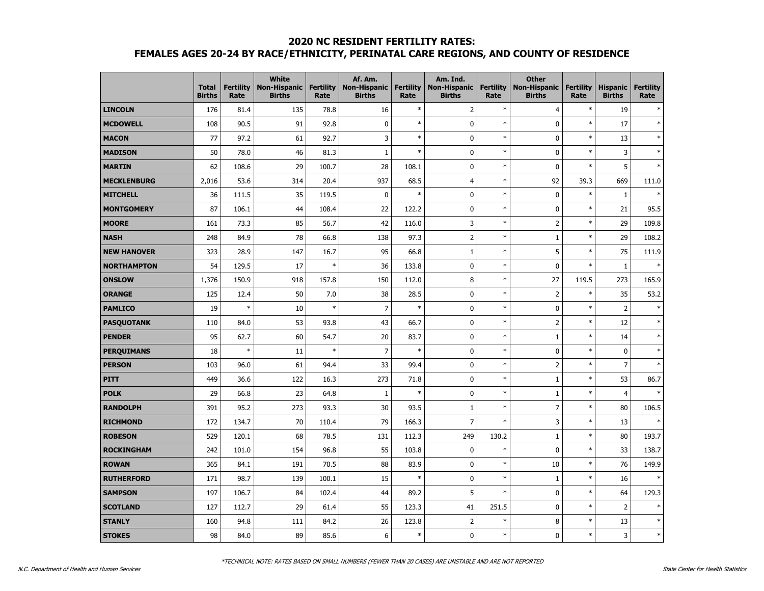# **2020 NC RESIDENT FERTILITY RATES:**

## **FEMALES AGES 20-24 BY RACE/ETHNICITY, PERINATAL CARE REGIONS, AND COUNTY OF RESIDENCE**

|                    | <b>Total</b><br><b>Births</b> | <b>Fertility</b><br>Rate | <b>White</b><br><b>Non-Hispanic</b><br><b>Births</b> | <b>Fertility</b><br>Rate | Af. Am.<br><b>Non-Hispanic</b><br><b>Births</b> | <b>Fertility</b><br>Rate | Am. Ind.<br>Non-Hispanic<br><b>Births</b> | <b>Fertility</b><br>Rate | <b>Other</b><br><b>Non-Hispanic</b><br><b>Births</b> | <b>Fertility</b><br>Rate | <b>Hispanic</b><br><b>Births</b> | <b>Fertility</b><br>Rate |
|--------------------|-------------------------------|--------------------------|------------------------------------------------------|--------------------------|-------------------------------------------------|--------------------------|-------------------------------------------|--------------------------|------------------------------------------------------|--------------------------|----------------------------------|--------------------------|
| <b>LINCOLN</b>     | 176                           | 81.4                     | 135                                                  | 78.8                     | 16                                              | $\ast$                   | $\mathsf{2}\,$                            | $\ast$                   | $\overline{4}$                                       | $\ast$                   | 19                               | $\ast$                   |
| <b>MCDOWELL</b>    | 108                           | 90.5                     | 91                                                   | 92.8                     | 0                                               | $\ast$                   | 0                                         | $\ast$                   | 0                                                    | $\ast$                   | 17                               | $\ast$                   |
| <b>MACON</b>       | 77                            | 97.2                     | 61                                                   | 92.7                     | 3                                               | $\ast$                   | $\mathbf 0$                               | $\ast$                   | $\pmb{0}$                                            | $\ast$                   | 13                               | $\ast$                   |
| <b>MADISON</b>     | 50                            | 78.0                     | 46                                                   | 81.3                     | $\mathbf{1}$                                    | $\ast$                   | $\mathbf 0$                               | $\ast$                   | 0                                                    | $\ast$                   | 3                                | $\ast$                   |
| <b>MARTIN</b>      | 62                            | 108.6                    | 29                                                   | 100.7                    | 28                                              | 108.1                    | $\mathbf 0$                               | $\ast$                   | 0                                                    | $\ast$                   | 5                                | $\ast$                   |
| <b>MECKLENBURG</b> | 2,016                         | 53.6                     | 314                                                  | 20.4                     | 937                                             | 68.5                     | 4                                         | $\ast$                   | 92                                                   | 39.3                     | 669                              | 111.0                    |
| <b>MITCHELL</b>    | 36                            | 111.5                    | 35                                                   | 119.5                    | $\mathbf 0$                                     | $\ast$                   | $\mathbf 0$                               | $\ast$                   | $\pmb{0}$                                            | $\ast$                   | $\mathbf{1}$                     | $\ast$                   |
| <b>MONTGOMERY</b>  | 87                            | 106.1                    | 44                                                   | 108.4                    | 22                                              | 122.2                    | $\mathbf 0$                               | $\ast$                   | 0                                                    | $\ast$                   | 21                               | 95.5                     |
| <b>MOORE</b>       | 161                           | 73.3                     | 85                                                   | 56.7                     | 42                                              | 116.0                    | 3                                         | $\ast$                   | $\overline{2}$                                       | $\ast$                   | 29                               | 109.8                    |
| <b>NASH</b>        | 248                           | 84.9                     | 78                                                   | 66.8                     | 138                                             | 97.3                     | $\mathsf 2$                               | $\ast$                   | 1                                                    | $\ast$                   | 29                               | 108.2                    |
| <b>NEW HANOVER</b> | 323                           | 28.9                     | 147                                                  | 16.7                     | 95                                              | 66.8                     | $\mathbf 1$                               | $\ast$                   | 5                                                    | $\ast$                   | 75                               | 111.9                    |
| <b>NORTHAMPTON</b> | 54                            | 129.5                    | 17                                                   | $\ast$                   | 36                                              | 133.8                    | $\mathbf 0$                               | $\ast$                   | $\pmb{0}$                                            | $\ast$                   | 1                                |                          |
| <b>ONSLOW</b>      | 1,376                         | 150.9                    | 918                                                  | 157.8                    | 150                                             | 112.0                    | 8                                         | $\ast$                   | 27                                                   | 119.5                    | 273                              | 165.9                    |
| <b>ORANGE</b>      | 125                           | 12.4                     | 50                                                   | 7.0                      | 38                                              | 28.5                     | $\mathbf 0$                               | $\ast$                   | $\overline{2}$                                       | $\ast$                   | 35                               | 53.2                     |
| <b>PAMLICO</b>     | 19                            | $\ast$                   | 10                                                   | $\ast$                   | $\overline{7}$                                  | $\ast$                   | $\pmb{0}$                                 | $\ast$                   | $\pmb{0}$                                            | $\ast$                   | $\overline{2}$                   | $\ast$                   |
| <b>PASQUOTANK</b>  | 110                           | 84.0                     | 53                                                   | 93.8                     | 43                                              | 66.7                     | $\mathbf 0$                               | $\ast$                   | $\overline{2}$                                       | $\ast$                   | 12                               | $\ast$                   |
| <b>PENDER</b>      | 95                            | 62.7                     | 60                                                   | 54.7                     | 20                                              | 83.7                     | $\mathbf 0$                               | $\ast$                   | 1                                                    | $\ast$                   | 14                               | $\ast$                   |
| <b>PERQUIMANS</b>  | 18                            | $\ast$                   | 11                                                   | $\ast$                   | $\overline{7}$                                  | $\ast$                   | $\mathbf 0$                               | $\ast$                   | 0                                                    | $\ast$                   | $\mathbf 0$                      | $\ast$                   |
| <b>PERSON</b>      | 103                           | 96.0                     | 61                                                   | 94.4                     | 33                                              | 99.4                     | $\mathbf 0$                               | $\ast$                   | $\mathsf 2$                                          | $\ast$                   | $\overline{7}$                   | $\ast$                   |
| <b>PITT</b>        | 449                           | 36.6                     | 122                                                  | 16.3                     | 273                                             | 71.8                     | $\mathbf 0$                               | $\ast$                   | $1\,$                                                | $\ast$                   | 53                               | 86.7                     |
| <b>POLK</b>        | 29                            | 66.8                     | 23                                                   | 64.8                     | $1\,$                                           | $\ast$                   | $\mathbf 0$                               | $\ast$                   | $1\,$                                                | $\ast$                   | $\overline{4}$                   | $\ast$                   |
| <b>RANDOLPH</b>    | 391                           | 95.2                     | 273                                                  | 93.3                     | 30                                              | 93.5                     | 1                                         | $\ast$                   | $\overline{7}$                                       | $\ast$                   | 80                               | 106.5                    |
| <b>RICHMOND</b>    | 172                           | 134.7                    | 70                                                   | 110.4                    | 79                                              | 166.3                    | $\overline{7}$                            | $\ast$                   | 3                                                    | $\ast$                   | 13                               | $\ast$                   |
| <b>ROBESON</b>     | 529                           | 120.1                    | 68                                                   | 78.5                     | 131                                             | 112.3                    | 249                                       | 130.2                    | 1                                                    | $\ast$                   | 80                               | 193.7                    |
| <b>ROCKINGHAM</b>  | 242                           | 101.0                    | 154                                                  | 96.8                     | 55                                              | 103.8                    | $\mathbf 0$                               | $\ast$                   | 0                                                    | $\ast$                   | 33                               | 138.7                    |
| <b>ROWAN</b>       | 365                           | 84.1                     | 191                                                  | 70.5                     | 88                                              | 83.9                     | $\mathbf 0$                               | $\ast$                   | 10                                                   | $\ast$                   | 76                               | 149.9                    |
| <b>RUTHERFORD</b>  | 171                           | 98.7                     | 139                                                  | 100.1                    | 15                                              | $\ast$                   | $\mathbf 0$                               | $\ast$                   | $\mathbf{1}$                                         | $\ast$                   | 16                               | $\star$                  |
| <b>SAMPSON</b>     | 197                           | 106.7                    | 84                                                   | 102.4                    | 44                                              | 89.2                     | 5                                         | $\ast$                   | 0                                                    | $\ast$                   | 64                               | 129.3                    |
| <b>SCOTLAND</b>    | 127                           | 112.7                    | 29                                                   | 61.4                     | 55                                              | 123.3                    | 41                                        | 251.5                    | 0                                                    | $\ast$                   | $\overline{2}$                   | $\ast$                   |
| <b>STANLY</b>      | 160                           | 94.8                     | 111                                                  | 84.2                     | 26                                              | 123.8                    | $\overline{2}$                            | $\ast$                   | 8                                                    | $\ast$                   | 13                               | $\ast$                   |
| <b>STOKES</b>      | 98                            | 84.0                     | 89                                                   | 85.6                     | 6                                               | $\ast$                   | $\mathbf 0$                               | $\ast$                   | $\pmb{0}$                                            | $\ast$                   | 3                                | $\ast$                   |